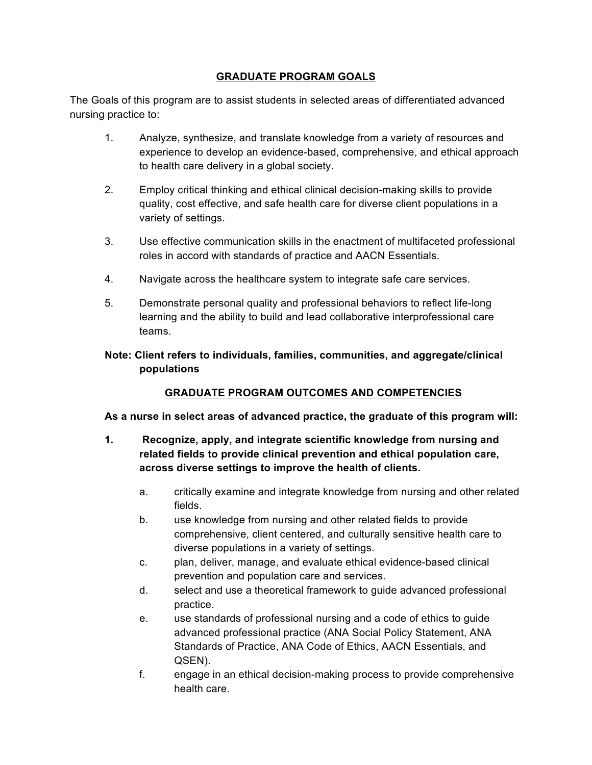#### **GRADUATE PROGRAM GOALS**

The Goals of this program are to assist students in selected areas of differentiated advanced nursing practice to:

- 1. Analyze, synthesize, and translate knowledge from a variety of resources and experience to develop an evidence-based, comprehensive, and ethical approach to health care delivery in a global society.
- 2. Employ critical thinking and ethical clinical decision-making skills to provide quality, cost effective, and safe health care for diverse client populations in a variety of settings.
- 3. Use effective communication skills in the enactment of multifaceted professional roles in accord with standards of practice and AACN Essentials.
- 4. Navigate across the healthcare system to integrate safe care services.
- 5. Demonstrate personal quality and professional behaviors to reflect life-long learning and the ability to build and lead collaborative interprofessional care teams.

### **Note: Client refers to individuals, families, communities, and aggregate/clinical populations**

### **GRADUATE PROGRAM OUTCOMES AND COMPETENCIES**

### **As a nurse in select areas of advanced practice, the graduate of this program will:**

- **1. Recognize, apply, and integrate scientific knowledge from nursing and related fields to provide clinical prevention and ethical population care, across diverse settings to improve the health of clients.**
	- a. critically examine and integrate knowledge from nursing and other related fields.
	- b. use knowledge from nursing and other related fields to provide comprehensive, client centered, and culturally sensitive health care to diverse populations in a variety of settings.
	- c. plan, deliver, manage, and evaluate ethical evidence-based clinical prevention and population care and services.
	- d. select and use a theoretical framework to guide advanced professional practice.
	- e. use standards of professional nursing and a code of ethics to guide advanced professional practice (ANA Social Policy Statement, ANA Standards of Practice, ANA Code of Ethics, AACN Essentials, and QSEN).
	- f. engage in an ethical decision-making process to provide comprehensive health care.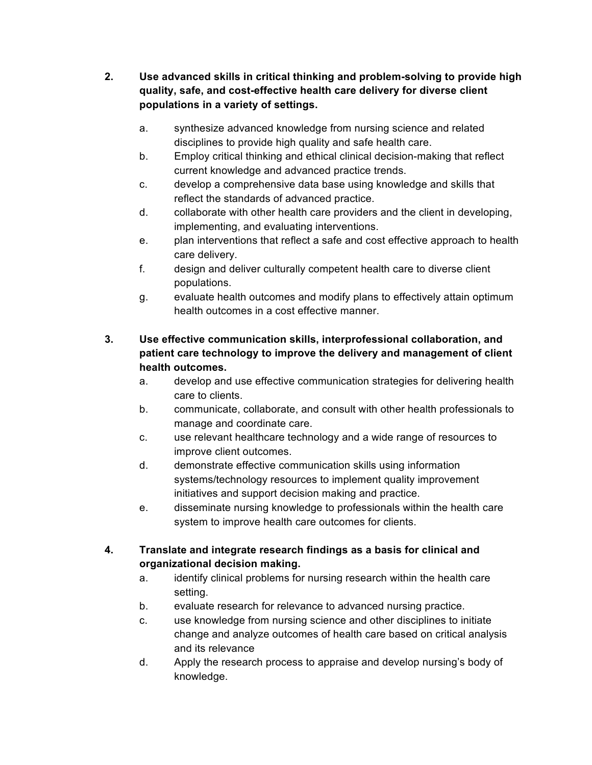- **2. Use advanced skills in critical thinking and problem-solving to provide high quality, safe, and cost-effective health care delivery for diverse client populations in a variety of settings.**
	- a. synthesize advanced knowledge from nursing science and related disciplines to provide high quality and safe health care.
	- b. Employ critical thinking and ethical clinical decision-making that reflect current knowledge and advanced practice trends.
	- c. develop a comprehensive data base using knowledge and skills that reflect the standards of advanced practice.
	- d. collaborate with other health care providers and the client in developing, implementing, and evaluating interventions.
	- e. plan interventions that reflect a safe and cost effective approach to health care delivery.
	- f. design and deliver culturally competent health care to diverse client populations.
	- g. evaluate health outcomes and modify plans to effectively attain optimum health outcomes in a cost effective manner.

## **3. Use effective communication skills, interprofessional collaboration, and patient care technology to improve the delivery and management of client health outcomes.**

- a. develop and use effective communication strategies for delivering health care to clients.
- b. communicate, collaborate, and consult with other health professionals to manage and coordinate care.
- c. use relevant healthcare technology and a wide range of resources to improve client outcomes.
- d. demonstrate effective communication skills using information systems/technology resources to implement quality improvement initiatives and support decision making and practice.
- e. disseminate nursing knowledge to professionals within the health care system to improve health care outcomes for clients.

# **4. Translate and integrate research findings as a basis for clinical and organizational decision making.**

- a. identify clinical problems for nursing research within the health care setting.
- b. evaluate research for relevance to advanced nursing practice.
- c. use knowledge from nursing science and other disciplines to initiate change and analyze outcomes of health care based on critical analysis and its relevance
- d. Apply the research process to appraise and develop nursing's body of knowledge.